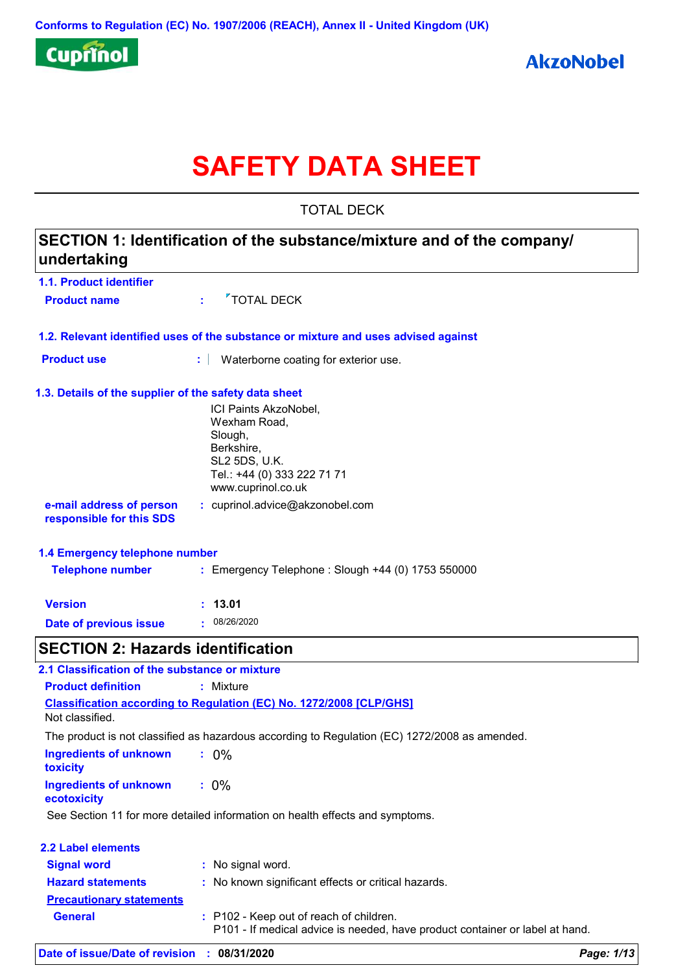

# **SAFETY DATA SHEET**

TOTAL DECK

# **1.1. Product identifier 1.3. Details of the supplier of the safety data sheet 1.2. Relevant identified uses of the substance or mixture and uses advised against SECTION 1: Identification of the substance/mixture and of the company/ undertaking Date of previous issue :** 08/26/2020 ICI Paints AkzoNobel, Wexham Road, Slough, Berkshire, SL2 5DS, U.K. Tel.: +44 (0) 333 222 71 71 www.cuprinol.co.uk **e-mail address of person responsible for this SDS :** cuprinol.advice@akzonobel.com **1.4 Emergency telephone number Version : 13.01 Product name**  $\overline{ }$  **<b>Product** name **Product use <b>:** Waterborne coating for exterior use. **Telephone number :** Emergency Telephone : Slough +44 (0) 1753 550000 **SECTION 2: Hazards identification Ingredients of unknown toxicity :** 0% **Ingredients of unknown ecotoxicity :** 0% **Classification according to Regulation (EC) No. 1272/2008 [CLP/GHS] 2.1 Classification of the substance or mixture Product definition :** Mixture Not classified. The product is not classified as hazardous according to Regulation (EC) 1272/2008 as amended.

See Section 11 for more detailed information on health effects and symptoms.

| <b>2.2 Label elements</b>       |                                                                                                                         |
|---------------------------------|-------------------------------------------------------------------------------------------------------------------------|
| <b>Signal word</b>              | : No signal word.                                                                                                       |
| <b>Hazard statements</b>        | : No known significant effects or critical hazards.                                                                     |
| <b>Precautionary statements</b> |                                                                                                                         |
| <b>General</b>                  | : P102 - Keep out of reach of children.<br>P101 - If medical advice is needed, have product container or label at hand. |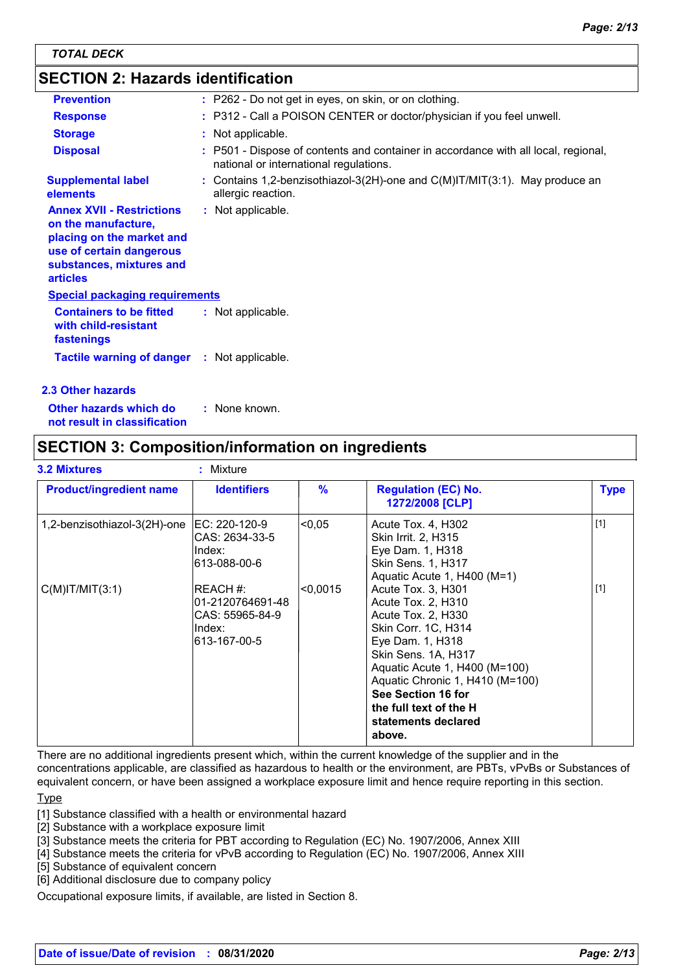# **SECTION 2: Hazards identification**

| <b>Prevention</b>                                                                                                                                               | : P262 - Do not get in eyes, on skin, or on clothing.                                                                        |
|-----------------------------------------------------------------------------------------------------------------------------------------------------------------|------------------------------------------------------------------------------------------------------------------------------|
| <b>Response</b>                                                                                                                                                 | : P312 - Call a POISON CENTER or doctor/physician if you feel unwell.                                                        |
| <b>Storage</b>                                                                                                                                                  | : Not applicable.                                                                                                            |
| <b>Disposal</b>                                                                                                                                                 | : P501 - Dispose of contents and container in accordance with all local, regional,<br>national or international regulations. |
| <b>Supplemental label</b><br><b>elements</b>                                                                                                                    | : Contains 1,2-benzisothiazol-3(2H)-one and $C(M)$ IT/MIT(3:1). May produce an<br>allergic reaction.                         |
| <b>Annex XVII - Restrictions</b><br>on the manufacture,<br>placing on the market and<br>use of certain dangerous<br>substances, mixtures and<br><b>articles</b> | : Not applicable.                                                                                                            |
| <b>Special packaging requirements</b>                                                                                                                           |                                                                                                                              |
| <b>Containers to be fitted</b><br>with child-resistant<br>fastenings                                                                                            | : Not applicable.                                                                                                            |
| <b>Tactile warning of danger : Not applicable.</b>                                                                                                              |                                                                                                                              |
| 2.3 Other hazards                                                                                                                                               |                                                                                                                              |

**Other hazards which do : not result in classification** : None known.

# **SECTION 3: Composition/information on ingredients**

| <b>3.2 Mixtures</b>            | : Mixture                                                                  |               |                                                                                                                                                                                                                                                                                       |             |
|--------------------------------|----------------------------------------------------------------------------|---------------|---------------------------------------------------------------------------------------------------------------------------------------------------------------------------------------------------------------------------------------------------------------------------------------|-------------|
| <b>Product/ingredient name</b> | <b>Identifiers</b>                                                         | $\frac{9}{6}$ | <b>Regulation (EC) No.</b><br>1272/2008 [CLP]                                                                                                                                                                                                                                         | <b>Type</b> |
| 1,2-benzisothiazol-3(2H)-one   | EC: 220-120-9<br>CAS: 2634-33-5<br>Index:<br>l613-088-00-6                 | < 0.05        | Acute Tox. 4, H302<br>Skin Irrit. 2, H315<br>Eye Dam. 1, H318<br><b>Skin Sens. 1, H317</b><br>Aquatic Acute 1, H400 (M=1)                                                                                                                                                             | $[1]$       |
| $C(M)$ IT/MIT $(3:1)$          | REACH #:<br>01-2120764691-48<br>CAS: 55965-84-9<br>Index:<br>l613-167-00-5 | < 0.0015      | Acute Tox. 3, H301<br>Acute Tox. 2, H310<br>Acute Tox. 2, H330<br>Skin Corr. 1C, H314<br>Eye Dam. 1, H318<br>Skin Sens. 1A, H317<br>Aquatic Acute 1, H400 (M=100)<br>Aquatic Chronic 1, H410 (M=100)<br>See Section 16 for<br>the full text of the H<br>statements declared<br>above. | $[1]$       |

There are no additional ingredients present which, within the current knowledge of the supplier and in the concentrations applicable, are classified as hazardous to health or the environment, are PBTs, vPvBs or Substances of equivalent concern, or have been assigned a workplace exposure limit and hence require reporting in this section.

#### **Type**

[1] Substance classified with a health or environmental hazard

- [2] Substance with a workplace exposure limit
- [3] Substance meets the criteria for PBT according to Regulation (EC) No. 1907/2006, Annex XIII
- [4] Substance meets the criteria for vPvB according to Regulation (EC) No. 1907/2006, Annex XIII
- [5] Substance of equivalent concern
- [6] Additional disclosure due to company policy

Occupational exposure limits, if available, are listed in Section 8.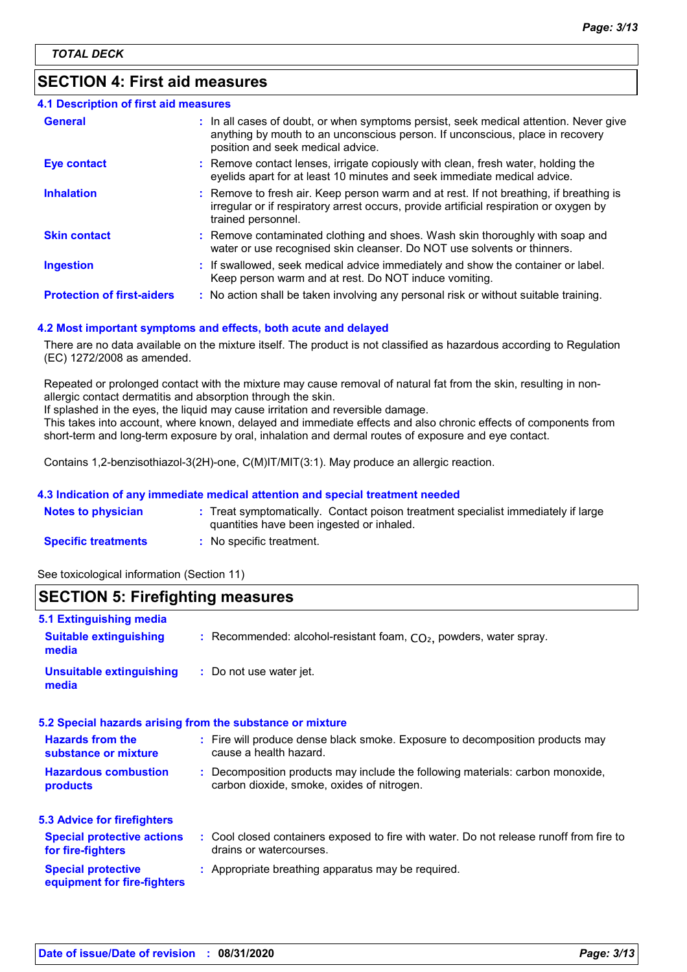# **SECTION 4: First aid measures**

| 4.1 Description of first aid measures |                                                                                                                                                                                                             |
|---------------------------------------|-------------------------------------------------------------------------------------------------------------------------------------------------------------------------------------------------------------|
| <b>General</b>                        | : In all cases of doubt, or when symptoms persist, seek medical attention. Never give<br>anything by mouth to an unconscious person. If unconscious, place in recovery<br>position and seek medical advice. |
| <b>Eye contact</b>                    | : Remove contact lenses, irrigate copiously with clean, fresh water, holding the<br>eyelids apart for at least 10 minutes and seek immediate medical advice.                                                |
| <b>Inhalation</b>                     | : Remove to fresh air. Keep person warm and at rest. If not breathing, if breathing is<br>irregular or if respiratory arrest occurs, provide artificial respiration or oxygen by<br>trained personnel.      |
| <b>Skin contact</b>                   | : Remove contaminated clothing and shoes. Wash skin thoroughly with soap and<br>water or use recognised skin cleanser. Do NOT use solvents or thinners.                                                     |
| <b>Ingestion</b>                      | : If swallowed, seek medical advice immediately and show the container or label.<br>Keep person warm and at rest. Do NOT induce vomiting.                                                                   |
| <b>Protection of first-aiders</b>     | : No action shall be taken involving any personal risk or without suitable training.                                                                                                                        |

#### **4.2 Most important symptoms and effects, both acute and delayed**

There are no data available on the mixture itself. The product is not classified as hazardous according to Regulation (EC) 1272/2008 as amended.

Repeated or prolonged contact with the mixture may cause removal of natural fat from the skin, resulting in nonallergic contact dermatitis and absorption through the skin.

If splashed in the eyes, the liquid may cause irritation and reversible damage.

This takes into account, where known, delayed and immediate effects and also chronic effects of components from short-term and long-term exposure by oral, inhalation and dermal routes of exposure and eye contact.

Contains 1,2-benzisothiazol-3(2H)-one, C(M)IT/MIT(3:1). May produce an allergic reaction.

#### **4.3 Indication of any immediate medical attention and special treatment needed**

| <b>Notes to physician</b>  |                                           | Treat symptomatically. Contact poison treatment specialist immediately if large |
|----------------------------|-------------------------------------------|---------------------------------------------------------------------------------|
|                            | quantities have been ingested or inhaled. |                                                                                 |
| <b>Specific treatments</b> | No specific treatment.                    |                                                                                 |

See toxicological information (Section 11)

### **SECTION 5: Firefighting measures**

| : Fire will produce dense black smoke. Exposure to decomposition products may           |
|-----------------------------------------------------------------------------------------|
| : Decomposition products may include the following materials: carbon monoxide,          |
|                                                                                         |
| : Cool closed containers exposed to fire with water. Do not release runoff from fire to |
|                                                                                         |
|                                                                                         |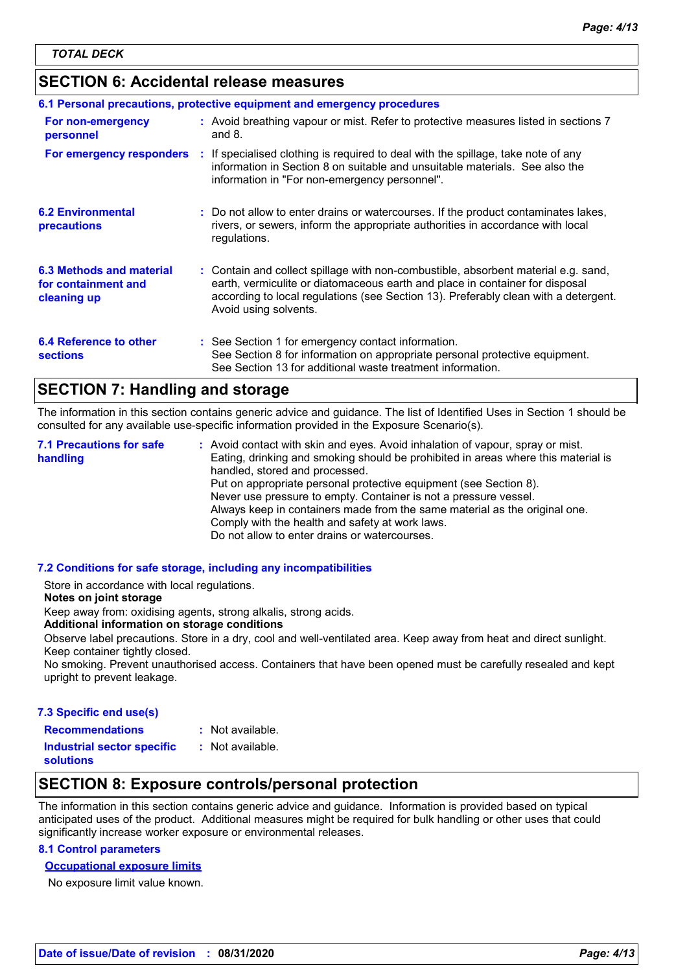### **SECTION 6: Accidental release measures**

|                                                                | 6.1 Personal precautions, protective equipment and emergency procedures                                                                                                                                                                                                            |
|----------------------------------------------------------------|------------------------------------------------------------------------------------------------------------------------------------------------------------------------------------------------------------------------------------------------------------------------------------|
| For non-emergency<br>personnel                                 | : Avoid breathing vapour or mist. Refer to protective measures listed in sections 7<br>and $8.$                                                                                                                                                                                    |
| For emergency responders                                       | : If specialised clothing is required to deal with the spillage, take note of any<br>information in Section 8 on suitable and unsuitable materials. See also the<br>information in "For non-emergency personnel".                                                                  |
| <b>6.2 Environmental</b><br>precautions                        | : Do not allow to enter drains or watercourses. If the product contaminates lakes,<br>rivers, or sewers, inform the appropriate authorities in accordance with local<br>regulations.                                                                                               |
| 6.3 Methods and material<br>for containment and<br>cleaning up | : Contain and collect spillage with non-combustible, absorbent material e.g. sand,<br>earth, vermiculite or diatomaceous earth and place in container for disposal<br>according to local regulations (see Section 13). Preferably clean with a detergent.<br>Avoid using solvents. |
| 6.4 Reference to other<br><b>sections</b>                      | : See Section 1 for emergency contact information.<br>See Section 8 for information on appropriate personal protective equipment.<br>See Section 13 for additional waste treatment information.                                                                                    |

### **SECTION 7: Handling and storage**

The information in this section contains generic advice and guidance. The list of Identified Uses in Section 1 should be consulted for any available use-specific information provided in the Exposure Scenario(s).

Avoid contact with skin and eyes. Avoid inhalation of vapour, spray or mist. **:** Eating, drinking and smoking should be prohibited in areas where this material is handled, stored and processed. Put on appropriate personal protective equipment (see Section 8). Never use pressure to empty. Container is not a pressure vessel. Always keep in containers made from the same material as the original one. Comply with the health and safety at work laws. Do not allow to enter drains or watercourses. **7.1 Precautions for safe handling**

#### **7.2 Conditions for safe storage, including any incompatibilities**

Store in accordance with local regulations.

#### **Notes on joint storage**

Keep away from: oxidising agents, strong alkalis, strong acids.

**Additional information on storage conditions**

Observe label precautions. Store in a dry, cool and well-ventilated area. Keep away from heat and direct sunlight. Keep container tightly closed.

No smoking. Prevent unauthorised access. Containers that have been opened must be carefully resealed and kept upright to prevent leakage.

#### **7.3 Specific end use(s)**

- **Recommendations :**
- : Not available.

**Industrial sector specific : solutions**

- : Not available.
- 

# **SECTION 8: Exposure controls/personal protection**

The information in this section contains generic advice and guidance. Information is provided based on typical anticipated uses of the product. Additional measures might be required for bulk handling or other uses that could significantly increase worker exposure or environmental releases.

### **8.1 Control parameters**

### **Occupational exposure limits**

No exposure limit value known.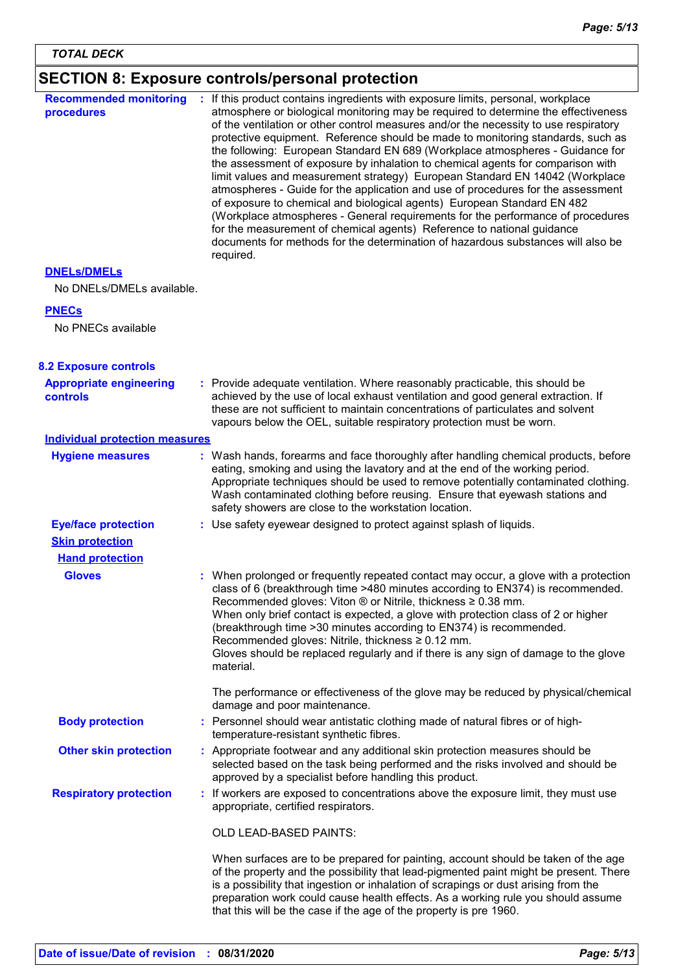#### **SECTION 8: Exposure controls/personal protection** If workers are exposed to concentrations above the exposure limit, they must use appropriate, certified respirators. OLD LEAD-BASED PAINTS: When surfaces are to be prepared for painting, account should be taken of the age of the property and the possibility that lead-pigmented paint might be present. There is a possibility that ingestion or inhalation of scrapings or dust arising from the Personnel should wear antistatic clothing made of natural fibres or of hightemperature-resistant synthetic fibres. Use safety eyewear designed to protect against splash of liquids. **: Gloves :** Provide adequate ventilation. Where reasonably practicable, this should be **:** achieved by the use of local exhaust ventilation and good general extraction. If these are not sufficient to maintain concentrations of particulates and solvent vapours below the OEL, suitable respiratory protection must be worn. **Recommended monitoring procedures :** If this product contains ingredients with exposure limits, personal, workplace atmosphere or biological monitoring may be required to determine the effectiveness of the ventilation or other control measures and/or the necessity to use respiratory protective equipment. Reference should be made to monitoring standards, such as the following: European Standard EN 689 (Workplace atmospheres - Guidance for the assessment of exposure by inhalation to chemical agents for comparison with limit values and measurement strategy) European Standard EN 14042 (Workplace atmospheres - Guide for the application and use of procedures for the assessment of exposure to chemical and biological agents) European Standard EN 482 (Workplace atmospheres - General requirements for the performance of procedures for the measurement of chemical agents) Reference to national guidance documents for methods for the determination of hazardous substances will also be required. No DNELs/DMELs available. **PNECs** No PNECs available **DNELs/DMELs Hand protection Eye/face protection Respiratory protection : Skin protection Other skin protection contact Appropriate footwear and any additional skin protection measures should be and the Appropriate engineering controls** Wash hands, forearms and face thoroughly after handling chemical products, before eating, smoking and using the lavatory and at the end of the working period. Appropriate techniques should be used to remove potentially contaminated clothing. Wash contaminated clothing before reusing. Ensure that eyewash stations and safety showers are close to the workstation location. **8.2 Exposure controls Hygiene measures : Individual protection measures Body protection :** selected based on the task being performed and the risks involved and should be approved by a specialist before handling this product. When prolonged or frequently repeated contact may occur, a glove with a protection class of 6 (breakthrough time >480 minutes according to EN374) is recommended. Recommended gloves: Viton ® or Nitrile, thickness ≥ 0.38 mm. When only brief contact is expected, a glove with protection class of 2 or higher (breakthrough time >30 minutes according to EN374) is recommended. Recommended gloves: Nitrile, thickness ≥ 0.12 mm. Gloves should be replaced regularly and if there is any sign of damage to the glove material. The performance or effectiveness of the glove may be reduced by physical/chemical damage and poor maintenance.

preparation work could cause health effects. As a working rule you should assume

that this will be the case if the age of the property is pre 1960.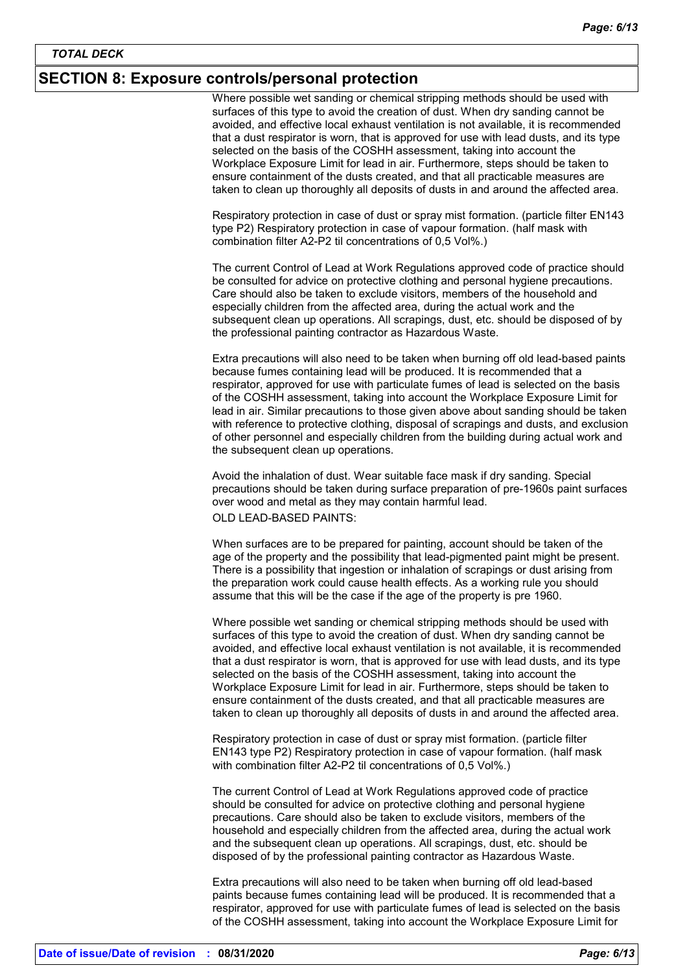### **SECTION 8: Exposure controls/personal protection**

Where possible wet sanding or chemical stripping methods should be used with surfaces of this type to avoid the creation of dust. When dry sanding cannot be avoided, and effective local exhaust ventilation is not available, it is recommended that a dust respirator is worn, that is approved for use with lead dusts, and its type selected on the basis of the COSHH assessment, taking into account the Workplace Exposure Limit for lead in air. Furthermore, steps should be taken to ensure containment of the dusts created, and that all practicable measures are taken to clean up thoroughly all deposits of dusts in and around the affected area.

Respiratory protection in case of dust or spray mist formation. (particle filter EN143 type P2) Respiratory protection in case of vapour formation. (half mask with combination filter A2-P2 til concentrations of 0,5 Vol%.)

The current Control of Lead at Work Regulations approved code of practice should be consulted for advice on protective clothing and personal hygiene precautions. Care should also be taken to exclude visitors, members of the household and especially children from the affected area, during the actual work and the subsequent clean up operations. All scrapings, dust, etc. should be disposed of by the professional painting contractor as Hazardous Waste.

Extra precautions will also need to be taken when burning off old lead-based paints because fumes containing lead will be produced. It is recommended that a respirator, approved for use with particulate fumes of lead is selected on the basis of the COSHH assessment, taking into account the Workplace Exposure Limit for lead in air. Similar precautions to those given above about sanding should be taken with reference to protective clothing, disposal of scrapings and dusts, and exclusion of other personnel and especially children from the building during actual work and the subsequent clean up operations.

Avoid the inhalation of dust. Wear suitable face mask if dry sanding. Special precautions should be taken during surface preparation of pre-1960s paint surfaces over wood and metal as they may contain harmful lead.

OLD LEAD-BASED PAINTS:

When surfaces are to be prepared for painting, account should be taken of the age of the property and the possibility that lead-pigmented paint might be present. There is a possibility that ingestion or inhalation of scrapings or dust arising from the preparation work could cause health effects. As a working rule you should assume that this will be the case if the age of the property is pre 1960.

Where possible wet sanding or chemical stripping methods should be used with surfaces of this type to avoid the creation of dust. When dry sanding cannot be avoided, and effective local exhaust ventilation is not available, it is recommended that a dust respirator is worn, that is approved for use with lead dusts, and its type selected on the basis of the COSHH assessment, taking into account the Workplace Exposure Limit for lead in air. Furthermore, steps should be taken to ensure containment of the dusts created, and that all practicable measures are taken to clean up thoroughly all deposits of dusts in and around the affected area.

Respiratory protection in case of dust or spray mist formation. (particle filter EN143 type P2) Respiratory protection in case of vapour formation. (half mask with combination filter A2-P2 til concentrations of 0,5 Vol%.)

The current Control of Lead at Work Regulations approved code of practice should be consulted for advice on protective clothing and personal hygiene precautions. Care should also be taken to exclude visitors, members of the household and especially children from the affected area, during the actual work and the subsequent clean up operations. All scrapings, dust, etc. should be disposed of by the professional painting contractor as Hazardous Waste.

Extra precautions will also need to be taken when burning off old lead-based paints because fumes containing lead will be produced. It is recommended that a respirator, approved for use with particulate fumes of lead is selected on the basis of the COSHH assessment, taking into account the Workplace Exposure Limit for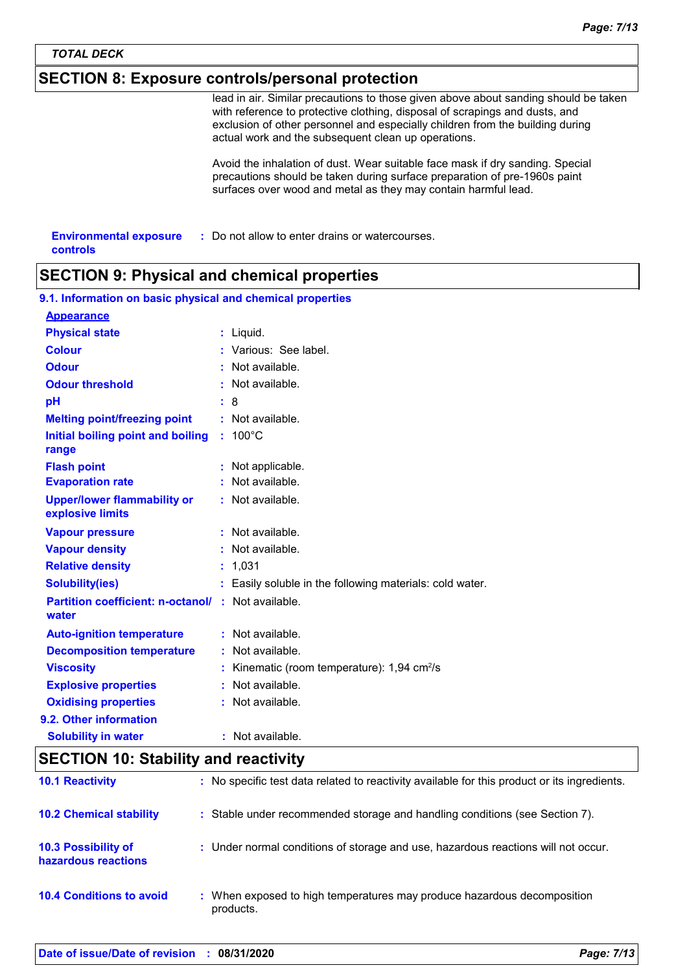### **SECTION 8: Exposure controls/personal protection**

lead in air. Similar precautions to those given above about sanding should be taken with reference to protective clothing, disposal of scrapings and dusts, and exclusion of other personnel and especially children from the building during actual work and the subsequent clean up operations.

Avoid the inhalation of dust. Wear suitable face mask if dry sanding. Special precautions should be taken during surface preparation of pre-1960s paint surfaces over wood and metal as they may contain harmful lead.

| <b>Environmental exposure</b> | : Do not allow to enter drains or watercourses. |
|-------------------------------|-------------------------------------------------|
| controls                      |                                                 |

### **SECTION 9: Physical and chemical properties**

| 9.1. Information on basic physical and chemical properties         |                                                          |
|--------------------------------------------------------------------|----------------------------------------------------------|
| <b>Appearance</b>                                                  |                                                          |
| <b>Physical state</b>                                              | $:$ Liquid.                                              |
| <b>Colour</b>                                                      | : Various: See label.                                    |
| <b>Odour</b>                                                       | Not available.                                           |
| <b>Odour threshold</b>                                             | $:$ Not available.                                       |
| pH                                                                 | :8                                                       |
| <b>Melting point/freezing point</b>                                | : Not available.                                         |
| Initial boiling point and boiling<br>range                         | $: 100^{\circ}$ C                                        |
| <b>Flash point</b>                                                 | : Not applicable.                                        |
| <b>Evaporation rate</b>                                            | : Not available.                                         |
| <b>Upper/lower flammability or</b><br>explosive limits             | : Not available.                                         |
| <b>Vapour pressure</b>                                             | $:$ Not available.                                       |
| <b>Vapour density</b>                                              | : Not available.                                         |
| <b>Relative density</b>                                            | : 1,031                                                  |
| <b>Solubility(ies)</b>                                             | : Easily soluble in the following materials: cold water. |
| <b>Partition coefficient: n-octanol/ : Not available.</b><br>water |                                                          |
| <b>Auto-ignition temperature</b>                                   | : Not available.                                         |
| <b>Decomposition temperature</b>                                   | : Not available.                                         |
| <b>Viscosity</b>                                                   | Kinematic (room temperature): 1,94 cm <sup>2</sup> /s    |
| <b>Explosive properties</b>                                        | : Not available.                                         |
| <b>Oxidising properties</b>                                        | Not available.                                           |
| 9.2. Other information                                             |                                                          |
| <b>Solubility in water</b>                                         | : Not available.                                         |

### **SECTION 10: Stability and reactivity**

| <b>10.1 Reactivity</b>                            | : No specific test data related to reactivity available for this product or its ingredients. |
|---------------------------------------------------|----------------------------------------------------------------------------------------------|
| <b>10.2 Chemical stability</b>                    | : Stable under recommended storage and handling conditions (see Section 7).                  |
| <b>10.3 Possibility of</b><br>hazardous reactions | : Under normal conditions of storage and use, hazardous reactions will not occur.            |
| <b>10.4 Conditions to avoid</b>                   | : When exposed to high temperatures may produce hazardous decomposition<br>products.         |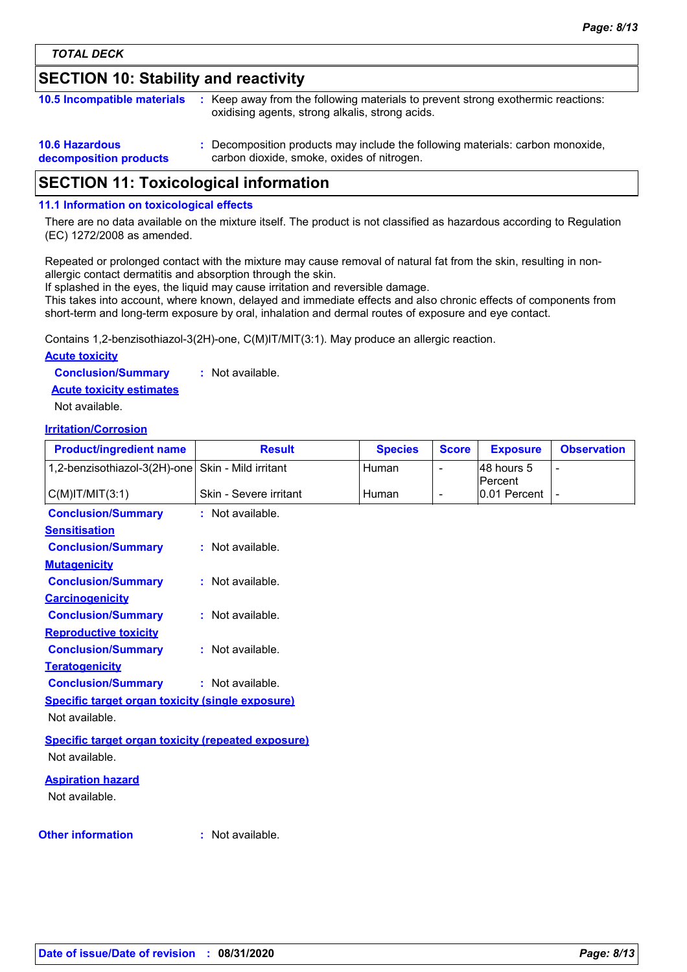# **SECTION 10: Stability and reactivity**

| 10.5 Incompatible materials                     | : Keep away from the following materials to prevent strong exothermic reactions:<br>oxidising agents, strong alkalis, strong acids. |
|-------------------------------------------------|-------------------------------------------------------------------------------------------------------------------------------------|
| <b>10.6 Hazardous</b><br>decomposition products | : Decomposition products may include the following materials: carbon monoxide,<br>carbon dioxide, smoke, oxides of nitrogen.        |

## **SECTION 11: Toxicological information**

#### **11.1 Information on toxicological effects**

There are no data available on the mixture itself. The product is not classified as hazardous according to Regulation (EC) 1272/2008 as amended.

Repeated or prolonged contact with the mixture may cause removal of natural fat from the skin, resulting in nonallergic contact dermatitis and absorption through the skin.

If splashed in the eyes, the liquid may cause irritation and reversible damage.

This takes into account, where known, delayed and immediate effects and also chronic effects of components from short-term and long-term exposure by oral, inhalation and dermal routes of exposure and eye contact.

Contains 1,2-benzisothiazol-3(2H)-one, C(M)IT/MIT(3:1). May produce an allergic reaction.

#### **Acute toxicity**

**Conclusion/Summary :** Not available.

**Acute toxicity estimates**

Not available.

#### **Irritation/Corrosion**

| <b>Product/ingredient name</b>                            | <b>Result</b>          | <b>Species</b> | <b>Score</b>   | <b>Exposure</b>         | <b>Observation</b> |
|-----------------------------------------------------------|------------------------|----------------|----------------|-------------------------|--------------------|
| 1,2-benzisothiazol-3(2H)-one                              | Skin - Mild irritant   | Human          | $\overline{a}$ | 48 hours 5              |                    |
| $C(M)$ IT/MIT $(3:1)$                                     | Skin - Severe irritant | Human          | $\blacksquare$ | Percent<br>0.01 Percent | ٠                  |
| <b>Conclusion/Summary</b>                                 | : Not available.       |                |                |                         |                    |
| <b>Sensitisation</b>                                      |                        |                |                |                         |                    |
| <b>Conclusion/Summary</b>                                 | : Not available.       |                |                |                         |                    |
| <b>Mutagenicity</b>                                       |                        |                |                |                         |                    |
| <b>Conclusion/Summary</b>                                 | : Not available.       |                |                |                         |                    |
| <b>Carcinogenicity</b>                                    |                        |                |                |                         |                    |
| <b>Conclusion/Summary</b>                                 | : Not available.       |                |                |                         |                    |
| <b>Reproductive toxicity</b>                              |                        |                |                |                         |                    |
| <b>Conclusion/Summary</b>                                 | : Not available.       |                |                |                         |                    |
| <b>Teratogenicity</b>                                     |                        |                |                |                         |                    |
| <b>Conclusion/Summary</b>                                 | : Not available.       |                |                |                         |                    |
| Specific target organ toxicity (single exposure)          |                        |                |                |                         |                    |
| Not available.                                            |                        |                |                |                         |                    |
| <b>Specific target organ toxicity (repeated exposure)</b> |                        |                |                |                         |                    |
| Not available.                                            |                        |                |                |                         |                    |
| <b>Aspiration hazard</b>                                  |                        |                |                |                         |                    |
| Not available.                                            |                        |                |                |                         |                    |
|                                                           |                        |                |                |                         |                    |
| <b>Other information</b>                                  | : Not available.       |                |                |                         |                    |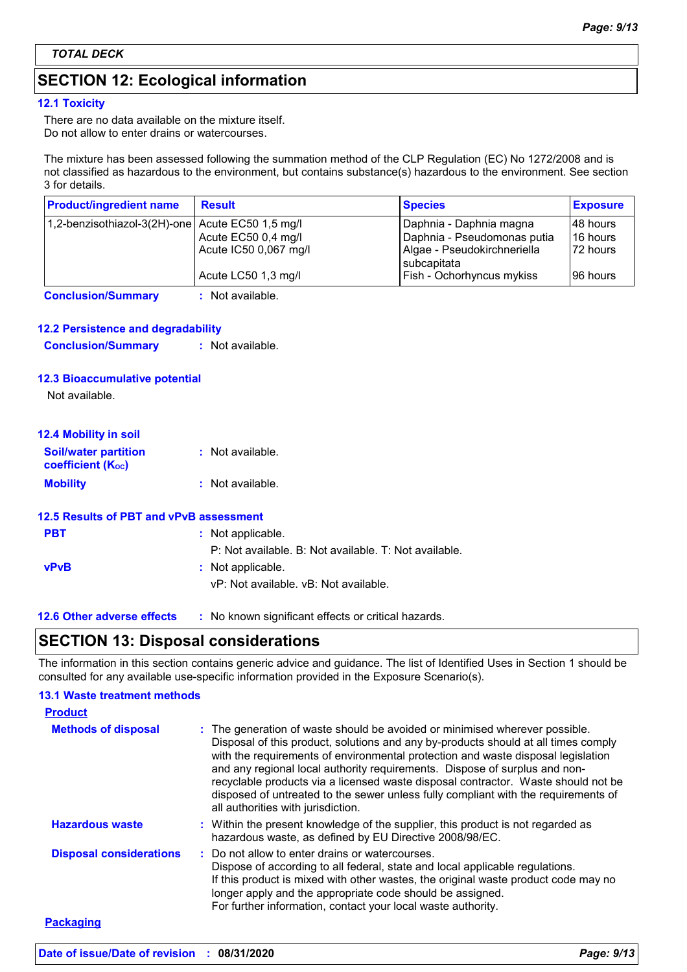# **SECTION 12: Ecological information**

#### **12.1 Toxicity**

There are no data available on the mixture itself. Do not allow to enter drains or watercourses.

The mixture has been assessed following the summation method of the CLP Regulation (EC) No 1272/2008 and is not classified as hazardous to the environment, but contains substance(s) hazardous to the environment. See section 3 for details.

| <b>Product/ingredient name</b>                   | <b>Result</b>                                | <b>Species</b>                                             | <b>Exposure</b>       |
|--------------------------------------------------|----------------------------------------------|------------------------------------------------------------|-----------------------|
| 1,2-benzisothiazol-3(2H)-one Acute EC50 1,5 mg/l |                                              | Daphnia - Daphnia magna                                    | 148 hours             |
|                                                  | Acute EC50 0,4 mg/l<br>Acute IC50 0,067 mg/l | Daphnia - Pseudomonas putia<br>Algae - Pseudokirchneriella | 16 hours<br>172 hours |
|                                                  | Acute LC50 1,3 mg/l                          | subcapitata<br>Fish - Ochorhyncus mykiss                   | 196 hours             |
| <b>Conclusion/Summary</b>                        | : Not available.                             |                                                            |                       |

#### **12.2 Persistence and degradability**

**Conclusion/Summary :** Not available.

#### **12.3 Bioaccumulative potential**

Not available.

| <b>12.4 Mobility in soil</b>                            |                  |
|---------------------------------------------------------|------------------|
| <b>Soil/water partition</b><br><b>coefficient (Koc)</b> | : Not available. |
| <b>Mobility</b>                                         | : Not available. |

# **12.5 Results of PBT and vPvB assessment**

| <b>PBT</b>  | : Not applicable.                                     |
|-------------|-------------------------------------------------------|
|             | P: Not available. B: Not available. T: Not available. |
| <b>vPvB</b> | : Not applicable.                                     |
|             | vP: Not available. vB: Not available.                 |

**12.6 Other adverse effects** : No known significant effects or critical hazards.

### **SECTION 13: Disposal considerations**

The information in this section contains generic advice and guidance. The list of Identified Uses in Section 1 should be consulted for any available use-specific information provided in the Exposure Scenario(s).

#### **13.1 Waste treatment methods**

| <b>Product</b>                 |                                                                                                                                                                                                                                                                                                                                                                                                                                                                                                                                                      |
|--------------------------------|------------------------------------------------------------------------------------------------------------------------------------------------------------------------------------------------------------------------------------------------------------------------------------------------------------------------------------------------------------------------------------------------------------------------------------------------------------------------------------------------------------------------------------------------------|
| <b>Methods of disposal</b>     | : The generation of waste should be avoided or minimised wherever possible.<br>Disposal of this product, solutions and any by-products should at all times comply<br>with the requirements of environmental protection and waste disposal legislation<br>and any regional local authority requirements. Dispose of surplus and non-<br>recyclable products via a licensed waste disposal contractor. Waste should not be<br>disposed of untreated to the sewer unless fully compliant with the requirements of<br>all authorities with jurisdiction. |
| <b>Hazardous waste</b>         | : Within the present knowledge of the supplier, this product is not regarded as<br>hazardous waste, as defined by EU Directive 2008/98/EC.                                                                                                                                                                                                                                                                                                                                                                                                           |
| <b>Disposal considerations</b> | : Do not allow to enter drains or watercourses.<br>Dispose of according to all federal, state and local applicable regulations.<br>If this product is mixed with other wastes, the original waste product code may no<br>longer apply and the appropriate code should be assigned.<br>For further information, contact your local waste authority.                                                                                                                                                                                                   |
| <b>Packaging</b>               |                                                                                                                                                                                                                                                                                                                                                                                                                                                                                                                                                      |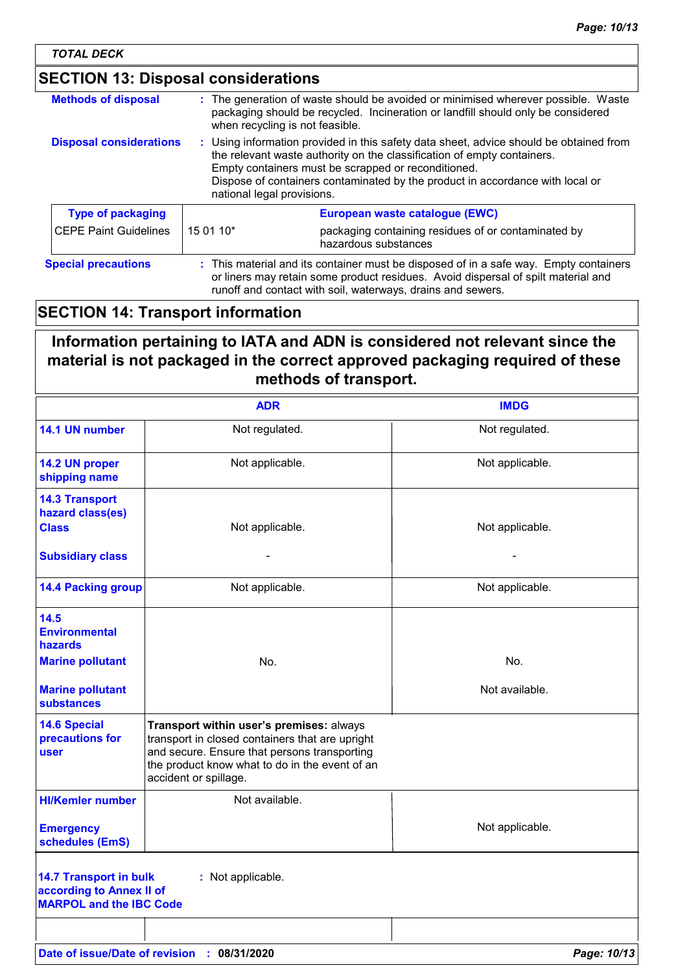| <b>Methods of disposal</b>     |                                                                                                                                                                                                                                                                                                                                         | : The generation of waste should be avoided or minimised wherever possible. Waste<br>packaging should be recycled. Incineration or landfill should only be considered<br>when recycling is not feasible. |
|--------------------------------|-----------------------------------------------------------------------------------------------------------------------------------------------------------------------------------------------------------------------------------------------------------------------------------------------------------------------------------------|----------------------------------------------------------------------------------------------------------------------------------------------------------------------------------------------------------|
| <b>Disposal considerations</b> | : Using information provided in this safety data sheet, advice should be obtained from<br>the relevant waste authority on the classification of empty containers.<br>Empty containers must be scrapped or reconditioned.<br>Dispose of containers contaminated by the product in accordance with local or<br>national legal provisions. |                                                                                                                                                                                                          |
| <b>Type of packaging</b>       |                                                                                                                                                                                                                                                                                                                                         | European waste catalogue (EWC)                                                                                                                                                                           |
| <b>CEPE Paint Guidelines</b>   | 15 01 10*                                                                                                                                                                                                                                                                                                                               | packaging containing residues of or contaminated by<br>hazardous substances                                                                                                                              |
| <b>Special precautions</b>     | : This material and its container must be disposed of in a safe way. Empty containers<br>or liners may retain some product residues. Avoid dispersal of spilt material and<br>runoff and contact with soil, waterways, drains and sewers.                                                                                               |                                                                                                                                                                                                          |

# **SECTION 14: Transport information**

# **Information pertaining to IATA and ADN is considered not relevant since the material is not packaged in the correct approved packaging required of these methods of transport.**

|                                                                                             | <b>ADR</b>                                                                                                                                                                                                             | <b>IMDG</b>     |
|---------------------------------------------------------------------------------------------|------------------------------------------------------------------------------------------------------------------------------------------------------------------------------------------------------------------------|-----------------|
| 14.1 UN number                                                                              | Not regulated.                                                                                                                                                                                                         | Not regulated.  |
| 14.2 UN proper<br>shipping name                                                             | Not applicable.                                                                                                                                                                                                        | Not applicable. |
| <b>14.3 Transport</b><br>hazard class(es)<br><b>Class</b>                                   | Not applicable.                                                                                                                                                                                                        | Not applicable. |
| <b>Subsidiary class</b>                                                                     |                                                                                                                                                                                                                        |                 |
| <b>14.4 Packing group</b>                                                                   | Not applicable.                                                                                                                                                                                                        | Not applicable. |
| 14.5<br><b>Environmental</b><br><b>hazards</b>                                              |                                                                                                                                                                                                                        |                 |
| <b>Marine pollutant</b>                                                                     | No.                                                                                                                                                                                                                    | No.             |
| <b>Marine pollutant</b><br><b>substances</b>                                                |                                                                                                                                                                                                                        | Not available.  |
| <b>14.6 Special</b><br>precautions for<br>user                                              | Transport within user's premises: always<br>transport in closed containers that are upright<br>and secure. Ensure that persons transporting<br>the product know what to do in the event of an<br>accident or spillage. |                 |
| <b>HI/Kemler number</b>                                                                     | Not available.                                                                                                                                                                                                         |                 |
| <b>Emergency</b><br>schedules (EmS)                                                         |                                                                                                                                                                                                                        | Not applicable. |
| <b>14.7 Transport in bulk</b><br>according to Annex II of<br><b>MARPOL and the IBC Code</b> | : Not applicable.                                                                                                                                                                                                      |                 |
|                                                                                             |                                                                                                                                                                                                                        |                 |
|                                                                                             | Date of issue/Date of revision : 08/31/2020                                                                                                                                                                            | Page: 10/13     |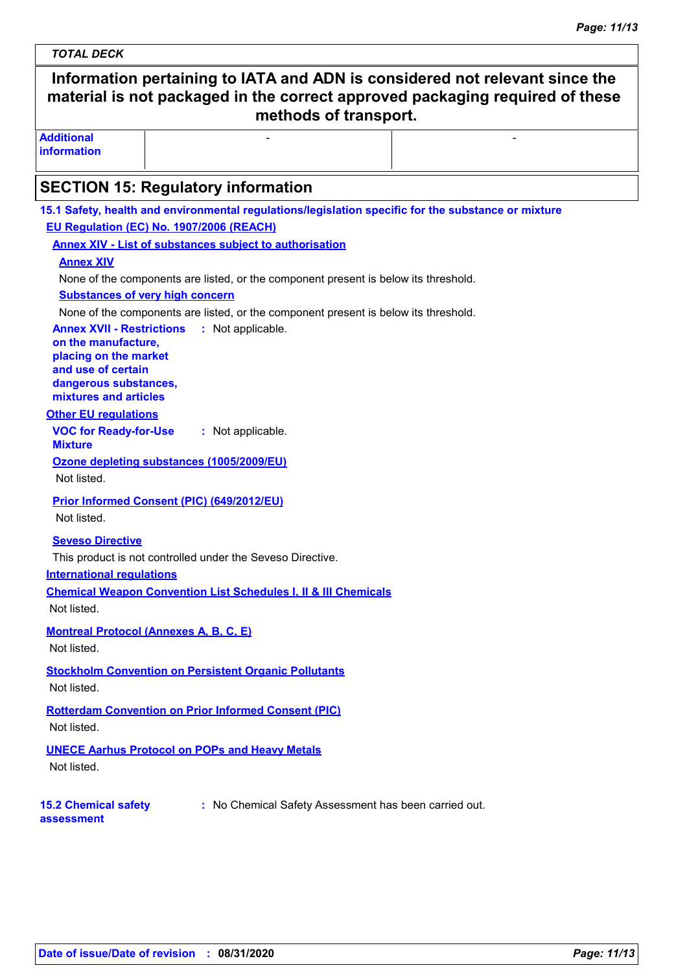# *TOTAL DECK* **Information pertaining to IATA and ADN is considered not relevant since the material is not packaged in the correct approved packaging required of these methods of transport. Additional information** - Harrison and the second control of the second second control of the second second control of the second second **SECTION 15: Regulatory information VOC for Ready-for-Use Mixture :** Not applicable. **15.1 Safety, health and environmental regulations/legislation specific for the substance or mixture Other EU regulations Annex XVII - Restrictions :** Not applicable. **on the manufacture, placing on the market and use of certain dangerous substances, mixtures and articles International regulations EU Regulation (EC) No. 1907/2006 (REACH) Annex XIV - List of substances subject to authorisation 15.2 Chemical safety assessment :** No Chemical Safety Assessment has been carried out. **Annex XIV Substances of very high concern** None of the components are listed, or the component present is below its threshold. None of the components are listed, or the component present is below its threshold. **Seveso Directive** This product is not controlled under the Seveso Directive. **Chemical Weapon Convention List Schedules I, II & III Chemicals Montreal Protocol (Annexes A, B, C, E)** Not listed. **Stockholm Convention on Persistent Organic Pollutants** Not listed. **Rotterdam Convention on Prior Informed Consent (PIC)** Not listed. Not listed. **UNECE Aarhus Protocol on POPs and Heavy Metals** Not listed. **Ozone depleting substances (1005/2009/EU)** Not listed. **Prior Informed Consent (PIC) (649/2012/EU)** Not listed.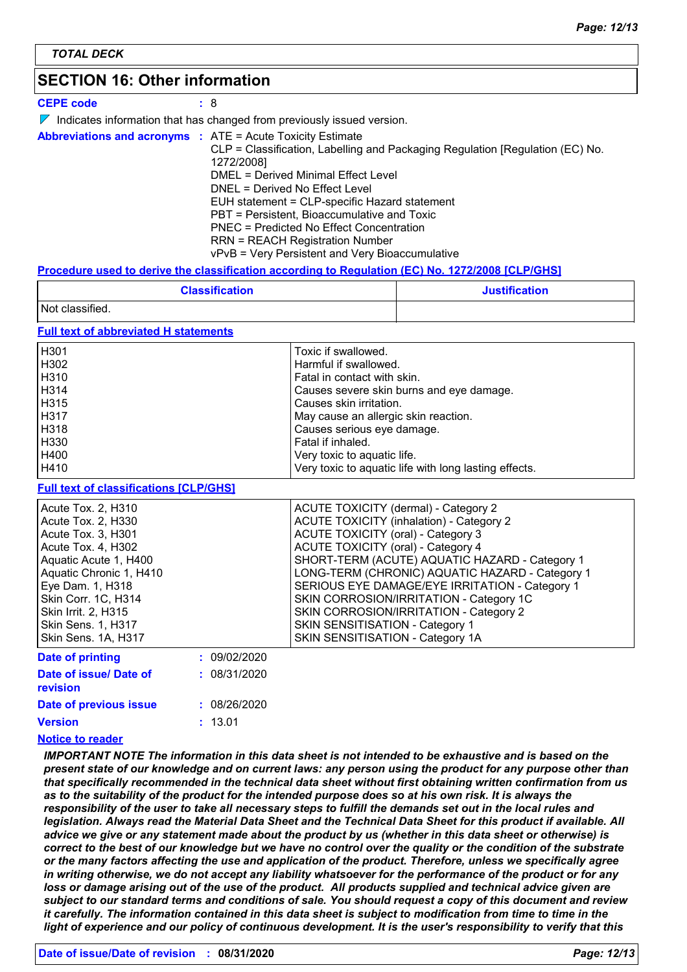## **SECTION 16: Other information**

#### **CEPE code :** 8

 $\nabla$  Indicates information that has changed from previously issued version.

| <b>Abbreviations and acronyms : ATE = Acute Toxicity Estimate</b> |                                                                               |
|-------------------------------------------------------------------|-------------------------------------------------------------------------------|
|                                                                   | CLP = Classification, Labelling and Packaging Regulation [Regulation (EC) No. |
|                                                                   | 1272/2008]                                                                    |
|                                                                   | DMEL = Derived Minimal Effect Level                                           |
|                                                                   | DNEL = Derived No Effect Level                                                |
|                                                                   | EUH statement = CLP-specific Hazard statement                                 |
|                                                                   | PBT = Persistent, Bioaccumulative and Toxic                                   |
|                                                                   | <b>PNEC</b> = Predicted No Effect Concentration                               |
|                                                                   | <b>RRN = REACH Registration Number</b>                                        |
|                                                                   | vPvB = Very Persistent and Very Bioaccumulative                               |

#### **Procedure used to derive the classification according to Regulation (EC) No. 1272/2008 [CLP/GHS]**

| <b>Classification</b> | <b>Justification</b> |
|-----------------------|----------------------|
| Not classified.       |                      |

#### **Full text of abbreviated H statements**

| H <sub>301</sub>  | Toxic if swallowed.                                   |
|-------------------|-------------------------------------------------------|
| H302              | Harmful if swallowed.                                 |
| H310              | Fatal in contact with skin.                           |
| H <sub>3</sub> 14 | Causes severe skin burns and eye damage.              |
| H315              | Causes skin irritation.                               |
| H317              | May cause an allergic skin reaction.                  |
| H318              | Causes serious eye damage.                            |
| H330              | Fatal if inhaled.                                     |
| H400              | Very toxic to aquatic life.                           |
| H410              | Very toxic to aquatic life with long lasting effects. |

#### **Full text of classifications [CLP/GHS]**

| SKIN CORROSION/IRRITATION - Category 1C<br>SKIN CORROSION/IRRITATION - Category 2<br>SKIN SENSITISATION - Category 1<br>SKIN SENSITISATION - Category 1A |
|----------------------------------------------------------------------------------------------------------------------------------------------------------|
|                                                                                                                                                          |
|                                                                                                                                                          |
|                                                                                                                                                          |
|                                                                                                                                                          |
| SERIOUS EYE DAMAGE/EYE IRRITATION - Category 1                                                                                                           |
| LONG-TERM (CHRONIC) AQUATIC HAZARD - Category 1                                                                                                          |
| SHORT-TERM (ACUTE) AQUATIC HAZARD - Category 1                                                                                                           |
| ACUTE TOXICITY (oral) - Category 4                                                                                                                       |
| ACUTE TOXICITY (oral) - Category 3                                                                                                                       |
| ACUTE TOXICITY (inhalation) - Category 2                                                                                                                 |
| ACUTE TOXICITY (dermal) - Category 2                                                                                                                     |
|                                                                                                                                                          |

| <b>PAN VI PUBLISH</b>                     |              |
|-------------------------------------------|--------------|
| Date of issue/ Date of<br><b>revision</b> | : 08/31/2020 |
| Date of previous issue                    | : 08/26/2020 |
| <b>Version</b>                            | : 13.01      |
|                                           |              |

#### **Notice to reader**

*IMPORTANT NOTE The information in this data sheet is not intended to be exhaustive and is based on the present state of our knowledge and on current laws: any person using the product for any purpose other than that specifically recommended in the technical data sheet without first obtaining written confirmation from us*  as to the suitability of the product for the intended purpose does so at his own risk. It is always the *responsibility of the user to take all necessary steps to fulfill the demands set out in the local rules and legislation. Always read the Material Data Sheet and the Technical Data Sheet for this product if available. All advice we give or any statement made about the product by us (whether in this data sheet or otherwise) is correct to the best of our knowledge but we have no control over the quality or the condition of the substrate or the many factors affecting the use and application of the product. Therefore, unless we specifically agree in writing otherwise, we do not accept any liability whatsoever for the performance of the product or for any loss or damage arising out of the use of the product. All products supplied and technical advice given are subject to our standard terms and conditions of sale. You should request a copy of this document and review it carefully. The information contained in this data sheet is subject to modification from time to time in the light of experience and our policy of continuous development. It is the user's responsibility to verify that this*